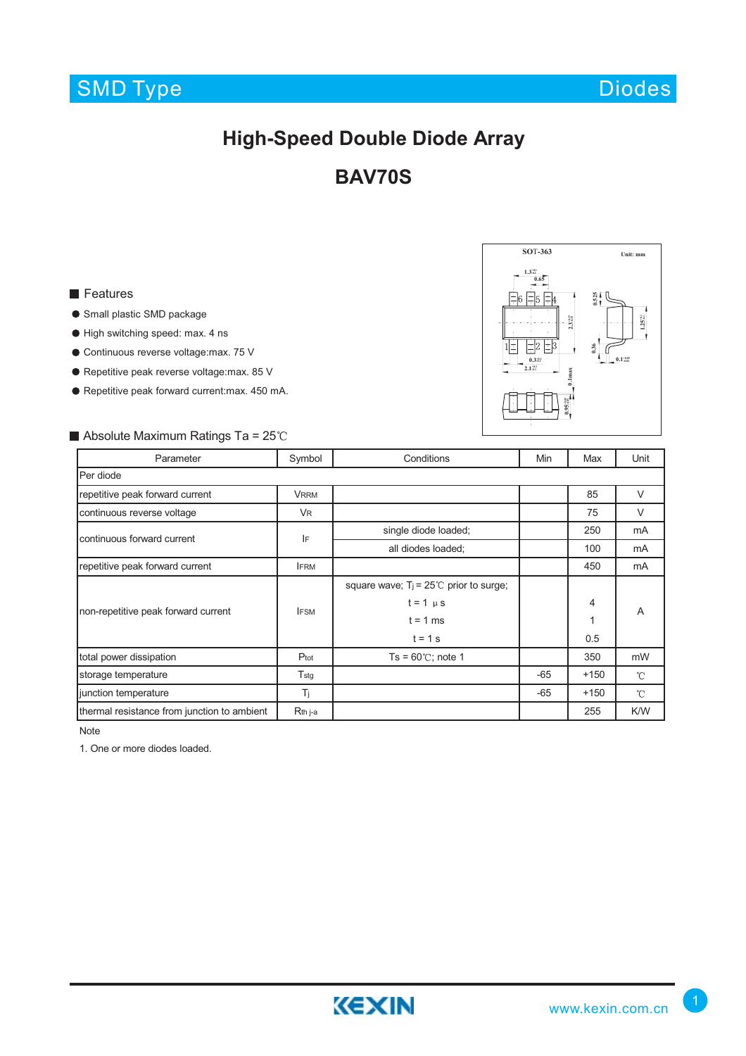# SMD Type

Diodes

**SO***T***-363 Unit: mm**

**0.525**

**0.36**

**0.1max 1.95% -0.15 1.15 2.3.45 2.3.45** 

 $3\frac{308}{408}$ 

**1.25+0.1 -0.1**

**0.1+0.05 -0.02**

**1.3+0.1 -0.1 0.65**

 $\vert z \vert_5 \vert z \vert_4$ 

**0.3+0.1 -0.1 2.1+0.1 -0.1**

 $\pm 2 \pm 3$ 

## **High-Speed Double Diode Array**

### **BAV70S**

#### **Features**

- **Small plastic SMD package**
- High switching speed: max. 4 ns
- Continuous reverse voltage:max. 75 V
- Repetitive peak reverse voltage:max. 85 V
- Repetitive peak forward current:max. 450 mA.

### Absolute Maximum Ratings Ta =  $25^{\circ}$ C

| Parameter                                   | Symbol        | Conditions                                      | Min   | Max    | Unit          |
|---------------------------------------------|---------------|-------------------------------------------------|-------|--------|---------------|
| Per diode                                   |               |                                                 |       |        |               |
| repetitive peak forward current             | <b>VRRM</b>   |                                                 |       | 85     | $\vee$        |
| continuous reverse voltage                  | <b>VR</b>     |                                                 |       | 75     | $\vee$        |
| continuous forward current                  | IF            | single diode loaded;                            |       | 250    | mA            |
|                                             |               | all diodes loaded;                              |       | 100    | mA            |
| repetitive peak forward current             | <b>IFRM</b>   |                                                 |       | 450    | mA            |
| non-repetitive peak forward current         | <b>IFSM</b>   | square wave; $T_i = 25^{\circ}$ prior to surge; |       |        | A             |
|                                             |               | $t = 1$ $\mu$ s                                 |       | 4      |               |
|                                             |               | $t = 1$ ms                                      |       | 1      |               |
|                                             |               | $t = 1$ s                                       |       | 0.5    |               |
| total power dissipation                     | Ptot          | $Ts = 60^{\circ}$ C; note 1                     |       | 350    | mW            |
| storage temperature                         | $T_{\rm stg}$ |                                                 | $-65$ | $+150$ | $^{\circ}$ C  |
| junction temperature                        | Τj            |                                                 | $-65$ | $+150$ | $\mathcal{C}$ |
| thermal resistance from junction to ambient | Rth j-a       |                                                 |       | 255    | K/W           |

Note

1. One or more diodes loaded.